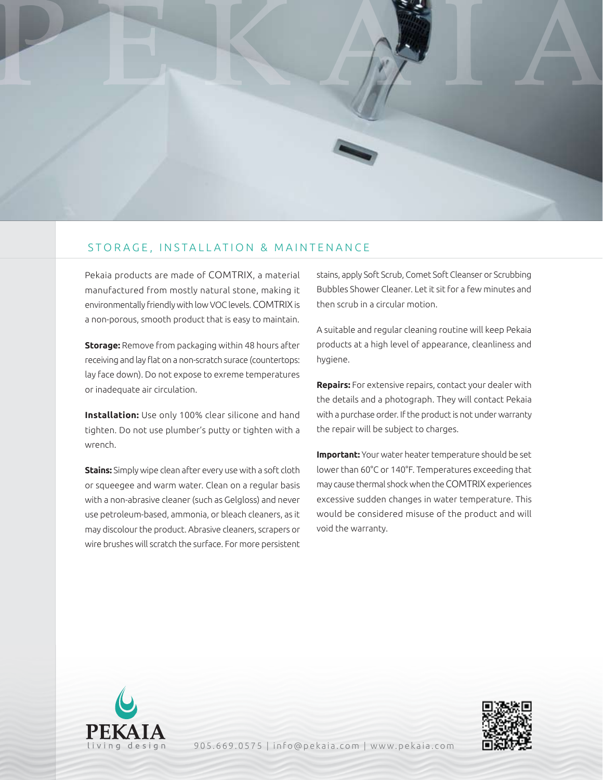

## STORAGE, INSTALLATION & MAINTENANCE

Pekaia products are made of COMTRIX, a material manufactured from mostly natural stone, making it environmentally friendly with low VOC levels. COMTRIX is a non-porous, smooth product that is easy to maintain.

**Storage:** Remove from packaging within 48 hours after receiving and lay flat on a non-scratch surace (countertops: lay face down). Do not expose to exreme temperatures or inadequate air circulation.

**Installation:** Use only 100% clear silicone and hand tighten. Do not use plumber's putty or tighten with a wrench.

**Stains:** Simply wipe clean after every use with a soft cloth or squeegee and warm water. Clean on a regular basis with a non-abrasive cleaner (such as Gelgloss) and never use petroleum-based, ammonia, or bleach cleaners, as it may discolour the product. Abrasive cleaners, scrapers or wire brushes will scratch the surface. For more persistent stains, apply Soft Scrub, Comet Soft Cleanser or Scrubbing Bubbles Shower Cleaner. Let it sit for a few minutes and then scrub in a circular motion.

A suitable and regular cleaning routine will keep Pekaia products at a high level of appearance, cleanliness and hygiene.

**Repairs:** For extensive repairs, contact your dealer with the details and a photograph. They will contact Pekaia with a purchase order. If the product is not under warranty the repair will be subject to charges.

**Important:** Your water heater temperature should be set lower than 60°C or 140°F. Temperatures exceeding that may cause thermal shock when the COMTRIX experiences excessive sudden changes in water temperature. This would be considered misuse of the product and will void the warranty.





905.669.0575 | info@pekaia.com | www.pekaia.com